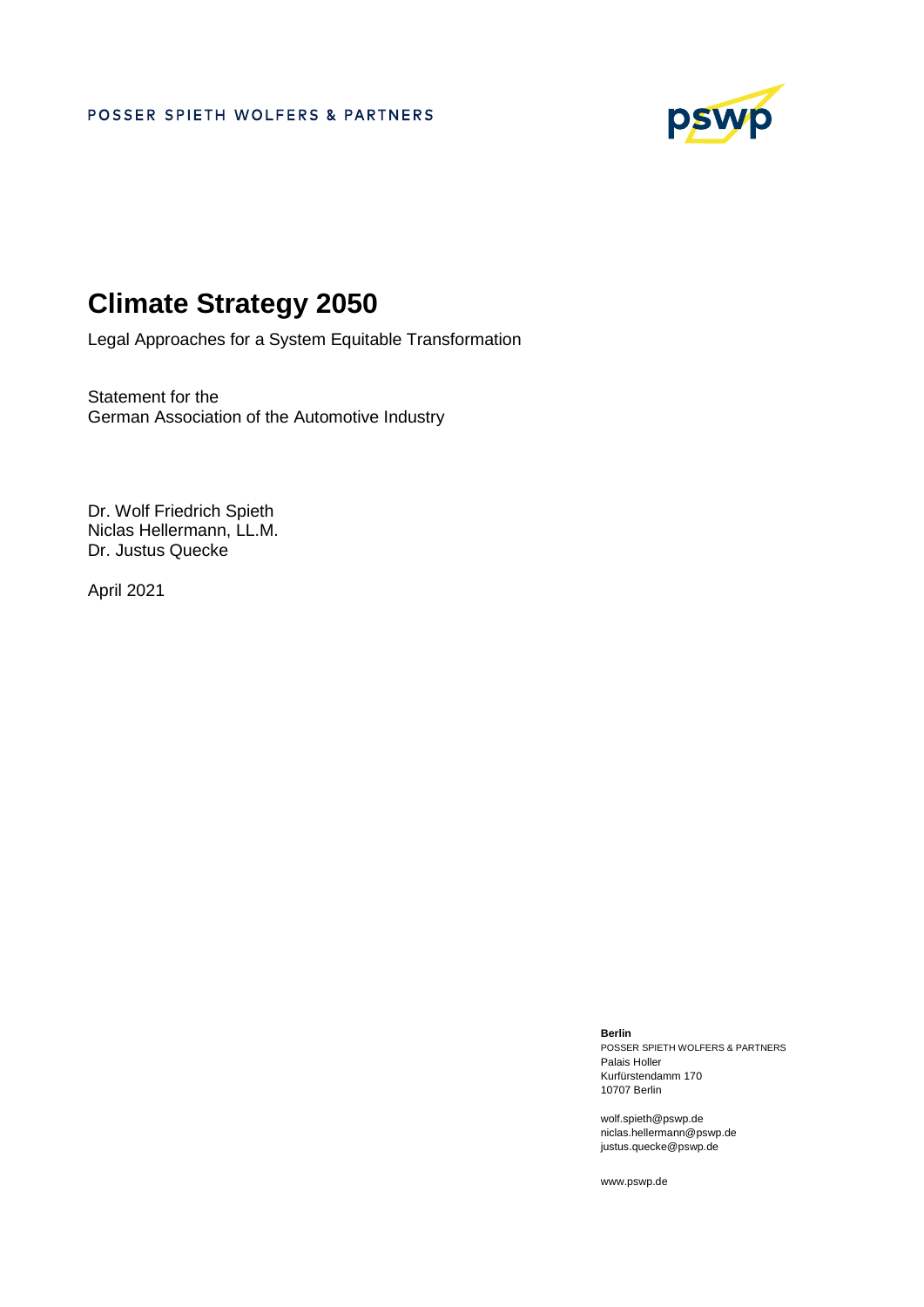

# **Climate Strategy 2050**

Legal Approaches for a System Equitable Transformation

Statement for the German Association of the Automotive Industry

Dr. Wolf Friedrich Spieth Niclas Hellermann, LL.M. Dr. Justus Quecke

April 2021

**Berlin** 

POSSER SPIETH WOLFERS & PARTNERS Palais Holler Kurfürstendamm 170 10707 Berlin

wolf.spieth@pswp.de niclas.hellermann@pswp.de justus.quecke@pswp.de

www.pswp.de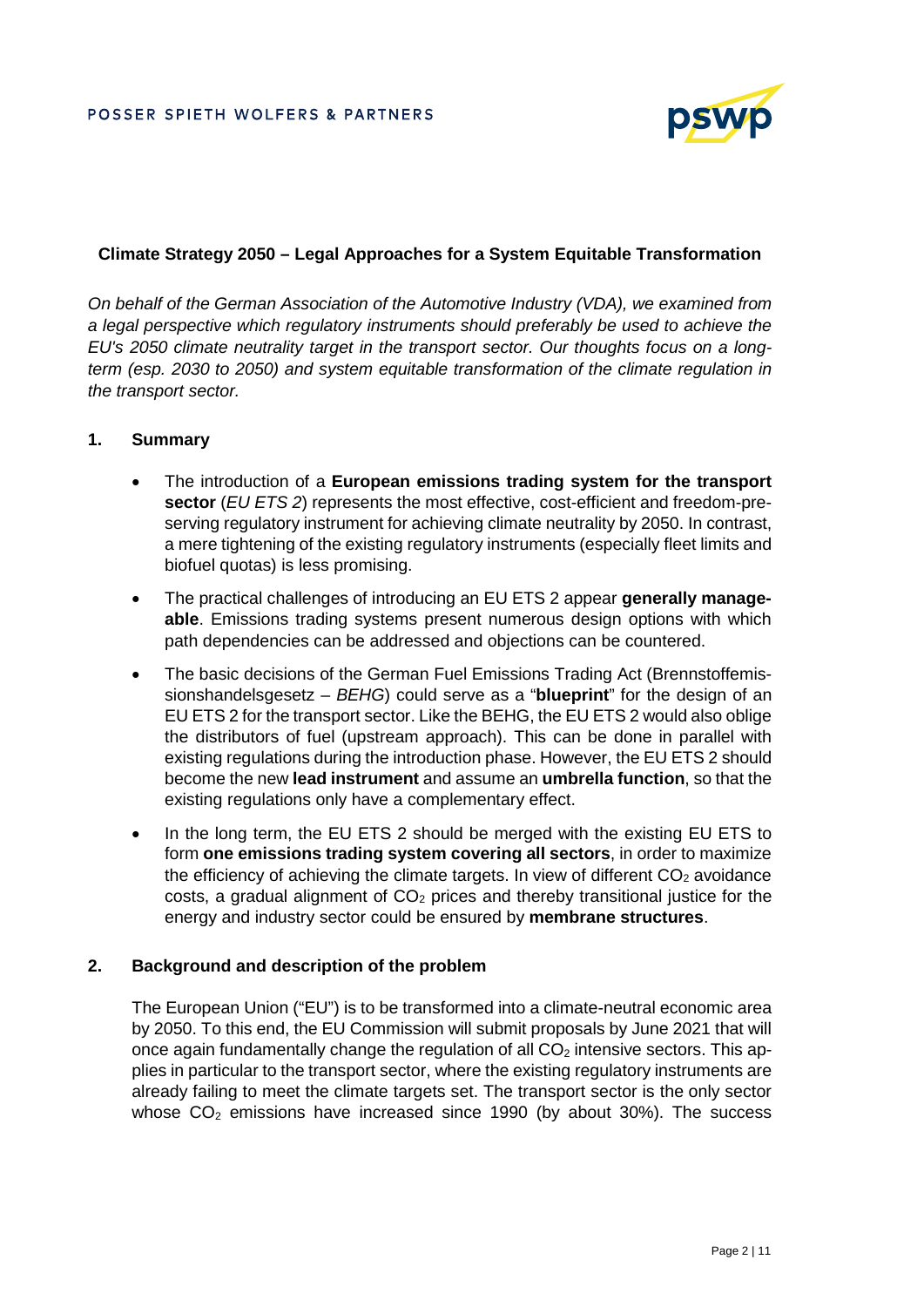

## **Climate Strategy 2050 – Legal Approaches for a System Equitable Transformation**

*On behalf of the German Association of the Automotive Industry (VDA), we examined from a legal perspective which regulatory instruments should preferably be used to achieve the EU's 2050 climate neutrality target in the transport sector. Our thoughts focus on a longterm (esp. 2030 to 2050) and system equitable transformation of the climate regulation in the transport sector.* 

## **1. Summary**

- The introduction of a **European emissions trading system for the transport sector** (*EU ETS 2*) represents the most effective, cost-efficient and freedom-preserving regulatory instrument for achieving climate neutrality by 2050. In contrast, a mere tightening of the existing regulatory instruments (especially fleet limits and biofuel quotas) is less promising.
- The practical challenges of introducing an EU ETS 2 appear **generally manageable**. Emissions trading systems present numerous design options with which path dependencies can be addressed and objections can be countered.
- The basic decisions of the German Fuel Emissions Trading Act (Brennstoffemissionshandelsgesetz – *BEHG*) could serve as a "**blueprint**" for the design of an EU ETS 2 for the transport sector. Like the BEHG, the EU ETS 2 would also oblige the distributors of fuel (upstream approach). This can be done in parallel with existing regulations during the introduction phase. However, the EU ETS 2 should become the new **lead instrument** and assume an **umbrella function**, so that the existing regulations only have a complementary effect.
- In the long term, the EU ETS 2 should be merged with the existing EU ETS to form **one emissions trading system covering all sectors**, in order to maximize the efficiency of achieving the climate targets. In view of different  $CO<sub>2</sub>$  avoidance costs, a gradual alignment of  $CO<sub>2</sub>$  prices and thereby transitional justice for the energy and industry sector could be ensured by **membrane structures**.

## **2. Background and description of the problem**

The European Union ("EU") is to be transformed into a climate-neutral economic area by 2050. To this end, the EU Commission will submit proposals by June 2021 that will once again fundamentally change the regulation of all  $CO<sub>2</sub>$  intensive sectors. This applies in particular to the transport sector, where the existing regulatory instruments are already failing to meet the climate targets set. The transport sector is the only sector whose  $CO<sub>2</sub>$  emissions have increased since 1990 (by about 30%). The success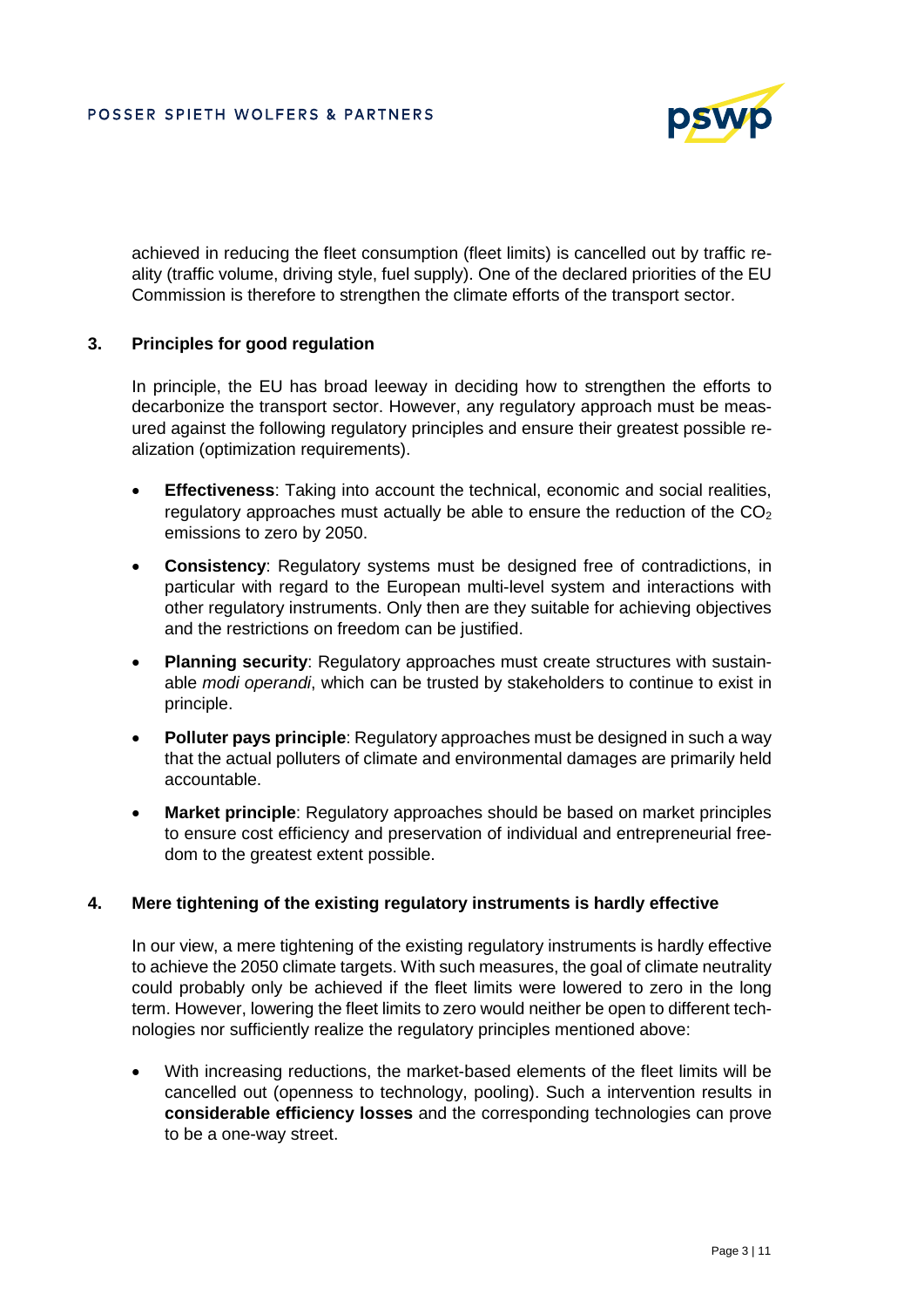

achieved in reducing the fleet consumption (fleet limits) is cancelled out by traffic reality (traffic volume, driving style, fuel supply). One of the declared priorities of the EU Commission is therefore to strengthen the climate efforts of the transport sector.

## **3. Principles for good regulation**

In principle, the EU has broad leeway in deciding how to strengthen the efforts to decarbonize the transport sector. However, any regulatory approach must be measured against the following regulatory principles and ensure their greatest possible realization (optimization requirements).

- **Effectiveness**: Taking into account the technical, economic and social realities, regulatory approaches must actually be able to ensure the reduction of the  $CO<sub>2</sub>$ emissions to zero by 2050.
- **Consistency**: Regulatory systems must be designed free of contradictions, in particular with regard to the European multi-level system and interactions with other regulatory instruments. Only then are they suitable for achieving objectives and the restrictions on freedom can be justified.
- **Planning security**: Regulatory approaches must create structures with sustainable *modi operandi*, which can be trusted by stakeholders to continue to exist in principle.
- **Polluter pays principle**: Regulatory approaches must be designed in such a way that the actual polluters of climate and environmental damages are primarily held accountable.
- **Market principle**: Regulatory approaches should be based on market principles to ensure cost efficiency and preservation of individual and entrepreneurial freedom to the greatest extent possible.

#### **4. Mere tightening of the existing regulatory instruments is hardly effective**

In our view, a mere tightening of the existing regulatory instruments is hardly effective to achieve the 2050 climate targets. With such measures, the goal of climate neutrality could probably only be achieved if the fleet limits were lowered to zero in the long term. However, lowering the fleet limits to zero would neither be open to different technologies nor sufficiently realize the regulatory principles mentioned above:

 With increasing reductions, the market-based elements of the fleet limits will be cancelled out (openness to technology, pooling). Such a intervention results in **considerable efficiency losses** and the corresponding technologies can prove to be a one-way street.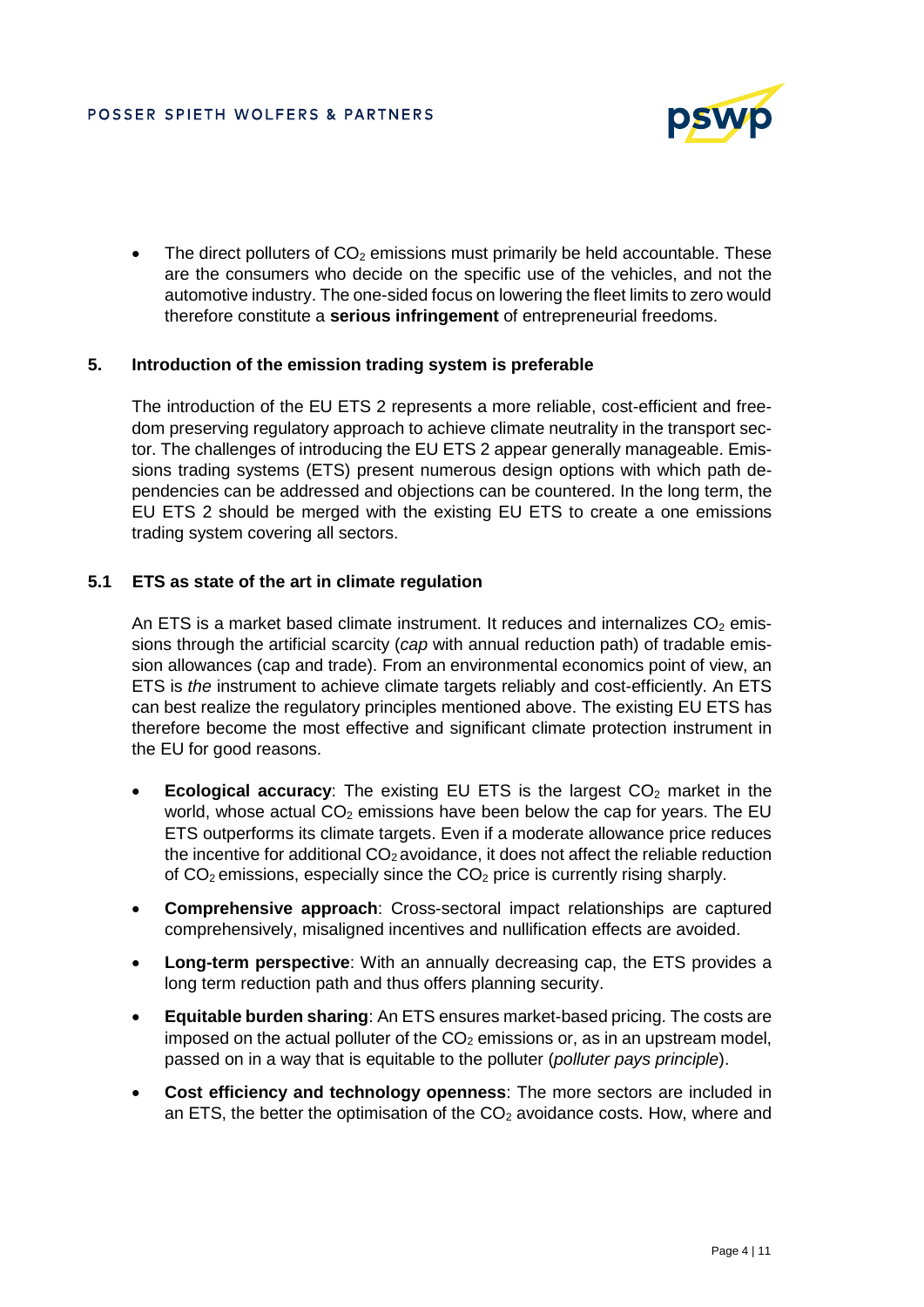

The direct polluters of  $CO<sub>2</sub>$  emissions must primarily be held accountable. These are the consumers who decide on the specific use of the vehicles, and not the automotive industry. The one-sided focus on lowering the fleet limits to zero would therefore constitute a **serious infringement** of entrepreneurial freedoms.

## **5. Introduction of the emission trading system is preferable**

The introduction of the EU ETS 2 represents a more reliable, cost-efficient and freedom preserving regulatory approach to achieve climate neutrality in the transport sector. The challenges of introducing the EU ETS 2 appear generally manageable. Emissions trading systems (ETS) present numerous design options with which path dependencies can be addressed and objections can be countered. In the long term, the EU ETS 2 should be merged with the existing EU ETS to create a one emissions trading system covering all sectors.

## **5.1 ETS as state of the art in climate regulation**

An ETS is a market based climate instrument. It reduces and internalizes  $CO<sub>2</sub>$  emissions through the artificial scarcity (*cap* with annual reduction path) of tradable emission allowances (cap and trade). From an environmental economics point of view, an ETS is *the* instrument to achieve climate targets reliably and cost-efficiently. An ETS can best realize the regulatory principles mentioned above. The existing EU ETS has therefore become the most effective and significant climate protection instrument in the EU for good reasons.

- **Ecological accuracy:** The existing EU ETS is the largest CO<sub>2</sub> market in the world, whose actual  $CO<sub>2</sub>$  emissions have been below the cap for years. The EU ETS outperforms its climate targets. Even if a moderate allowance price reduces the incentive for additional  $CO<sub>2</sub>$  avoidance, it does not affect the reliable reduction of  $CO<sub>2</sub>$  emissions, especially since the  $CO<sub>2</sub>$  price is currently rising sharply.
- **Comprehensive approach**: Cross-sectoral impact relationships are captured comprehensively, misaligned incentives and nullification effects are avoided.
- **Long-term perspective**: With an annually decreasing cap, the ETS provides a long term reduction path and thus offers planning security.
- **Equitable burden sharing**: An ETS ensures market-based pricing. The costs are imposed on the actual polluter of the  $CO<sub>2</sub>$  emissions or, as in an upstream model, passed on in a way that is equitable to the polluter (*polluter pays principle*).
- **Cost efficiency and technology openness**: The more sectors are included in an ETS, the better the optimisation of the  $CO<sub>2</sub>$  avoidance costs. How, where and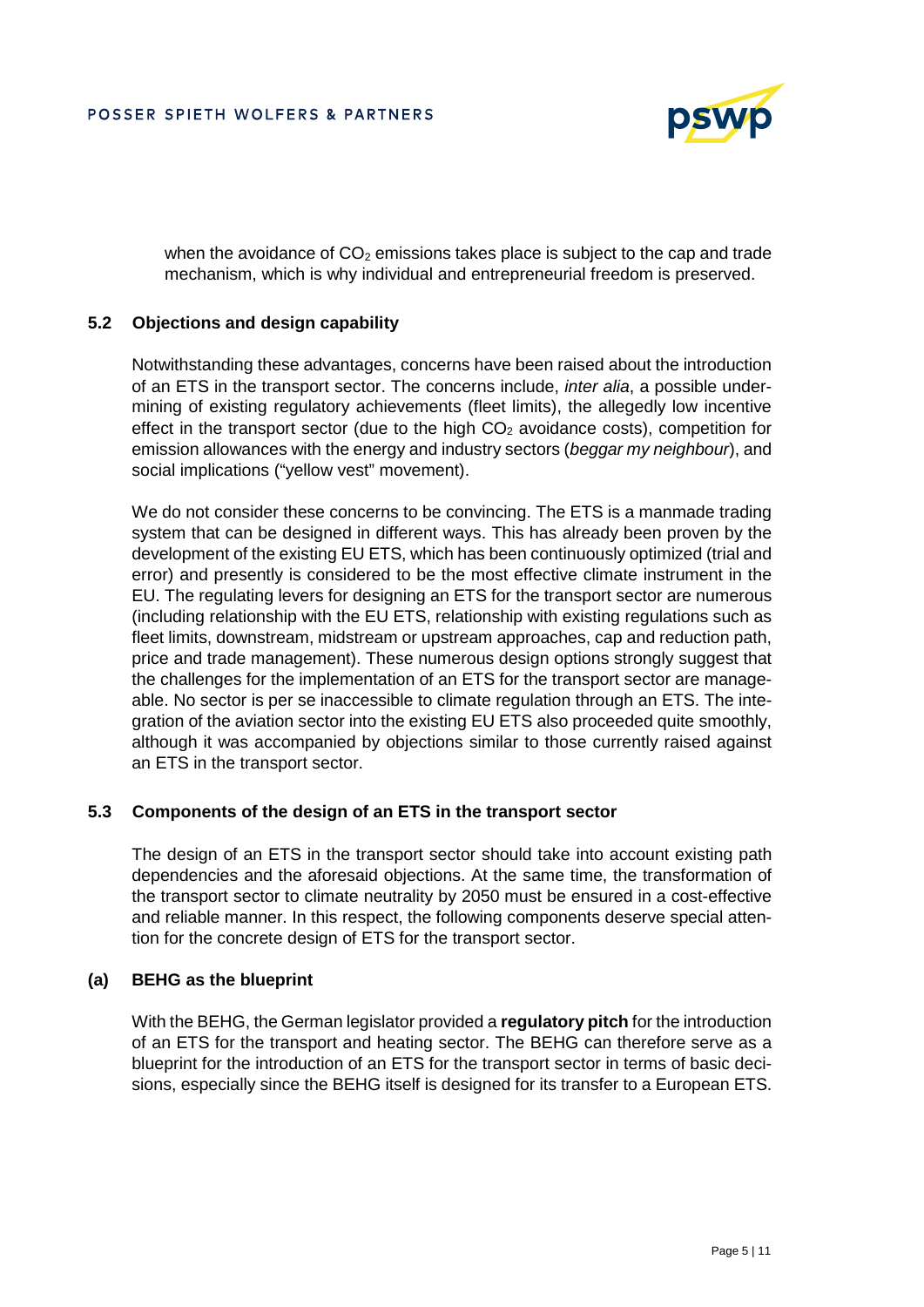

when the avoidance of  $CO<sub>2</sub>$  emissions takes place is subject to the cap and trade mechanism, which is why individual and entrepreneurial freedom is preserved.

## **5.2 Objections and design capability**

Notwithstanding these advantages, concerns have been raised about the introduction of an ETS in the transport sector. The concerns include, *inter alia*, a possible undermining of existing regulatory achievements (fleet limits), the allegedly low incentive effect in the transport sector (due to the high  $CO<sub>2</sub>$  avoidance costs), competition for emission allowances with the energy and industry sectors (*beggar my neighbour*), and social implications ("yellow vest" movement).

We do not consider these concerns to be convincing. The ETS is a manmade trading system that can be designed in different ways. This has already been proven by the development of the existing EU ETS, which has been continuously optimized (trial and error) and presently is considered to be the most effective climate instrument in the EU. The regulating levers for designing an ETS for the transport sector are numerous (including relationship with the EU ETS, relationship with existing regulations such as fleet limits, downstream, midstream or upstream approaches, cap and reduction path, price and trade management). These numerous design options strongly suggest that the challenges for the implementation of an ETS for the transport sector are manageable. No sector is per se inaccessible to climate regulation through an ETS. The integration of the aviation sector into the existing EU ETS also proceeded quite smoothly, although it was accompanied by objections similar to those currently raised against an ETS in the transport sector.

#### **5.3 Components of the design of an ETS in the transport sector**

The design of an ETS in the transport sector should take into account existing path dependencies and the aforesaid objections. At the same time, the transformation of the transport sector to climate neutrality by 2050 must be ensured in a cost-effective and reliable manner. In this respect, the following components deserve special attention for the concrete design of ETS for the transport sector.

#### **(a) BEHG as the blueprint**

With the BEHG, the German legislator provided a **regulatory pitch** for the introduction of an ETS for the transport and heating sector. The BEHG can therefore serve as a blueprint for the introduction of an ETS for the transport sector in terms of basic decisions, especially since the BEHG itself is designed for its transfer to a European ETS.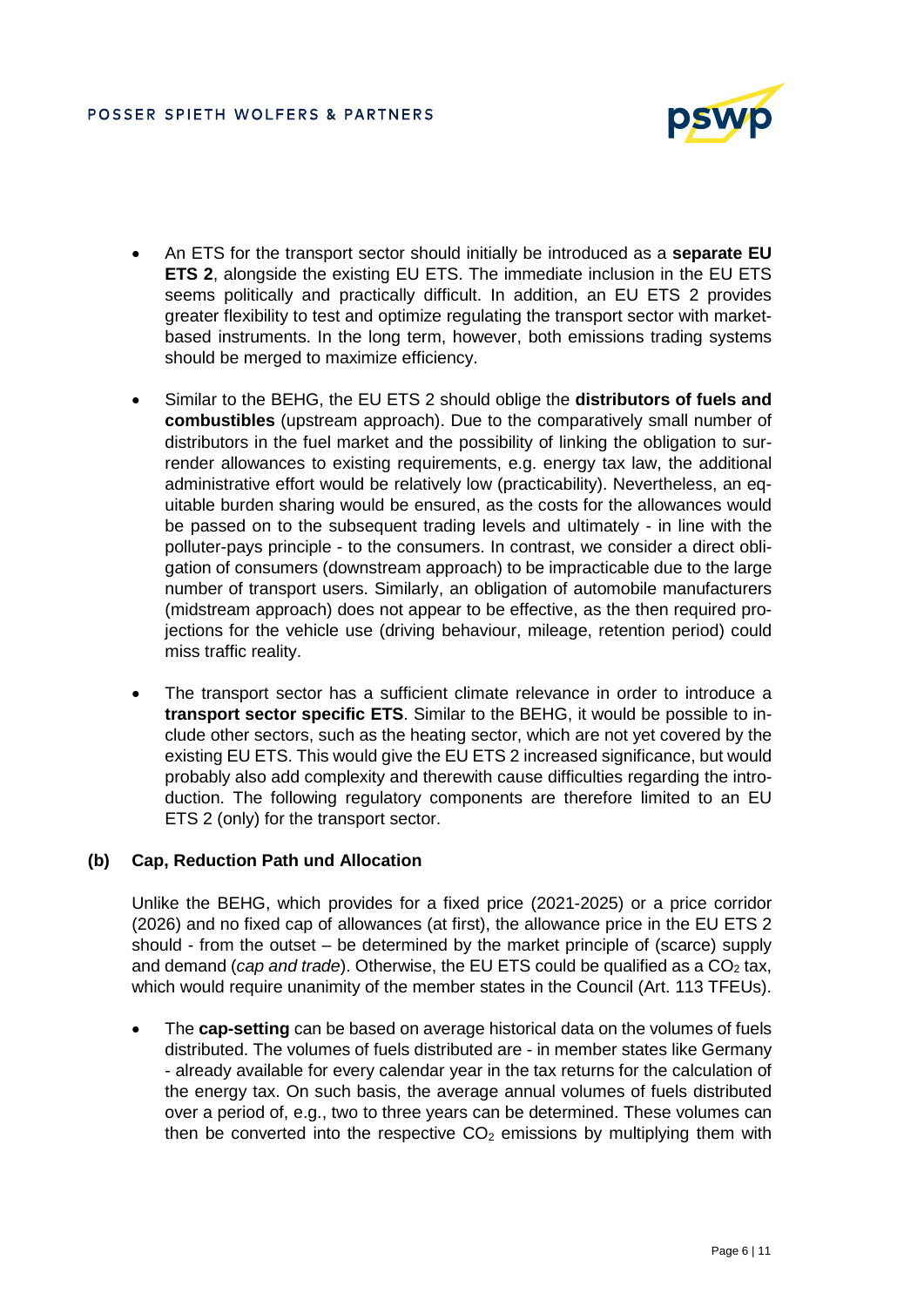

- An ETS for the transport sector should initially be introduced as a **separate EU ETS 2**, alongside the existing EU ETS. The immediate inclusion in the EU ETS seems politically and practically difficult. In addition, an EU ETS 2 provides greater flexibility to test and optimize regulating the transport sector with marketbased instruments. In the long term, however, both emissions trading systems should be merged to maximize efficiency.
- Similar to the BEHG, the EU ETS 2 should oblige the **distributors of fuels and combustibles** (upstream approach). Due to the comparatively small number of distributors in the fuel market and the possibility of linking the obligation to surrender allowances to existing requirements, e.g. energy tax law, the additional administrative effort would be relatively low (practicability). Nevertheless, an equitable burden sharing would be ensured, as the costs for the allowances would be passed on to the subsequent trading levels and ultimately - in line with the polluter-pays principle - to the consumers. In contrast, we consider a direct obligation of consumers (downstream approach) to be impracticable due to the large number of transport users. Similarly, an obligation of automobile manufacturers (midstream approach) does not appear to be effective, as the then required projections for the vehicle use (driving behaviour, mileage, retention period) could miss traffic reality.
- The transport sector has a sufficient climate relevance in order to introduce a **transport sector specific ETS**. Similar to the BEHG, it would be possible to include other sectors, such as the heating sector, which are not yet covered by the existing EU ETS. This would give the EU ETS 2 increased significance, but would probably also add complexity and therewith cause difficulties regarding the introduction. The following regulatory components are therefore limited to an EU ETS 2 (only) for the transport sector.

# **(b) Cap, Reduction Path und Allocation**

Unlike the BEHG, which provides for a fixed price (2021-2025) or a price corridor (2026) and no fixed cap of allowances (at first), the allowance price in the EU ETS 2 should - from the outset – be determined by the market principle of (scarce) supply and demand (*cap and trade*). Otherwise, the EU ETS could be qualified as a CO<sub>2</sub> tax, which would require unanimity of the member states in the Council (Art. 113 TFEUs).

 The **cap-setting** can be based on average historical data on the volumes of fuels distributed. The volumes of fuels distributed are - in member states like Germany - already available for every calendar year in the tax returns for the calculation of the energy tax. On such basis, the average annual volumes of fuels distributed over a period of, e.g., two to three years can be determined. These volumes can then be converted into the respective  $CO<sub>2</sub>$  emissions by multiplying them with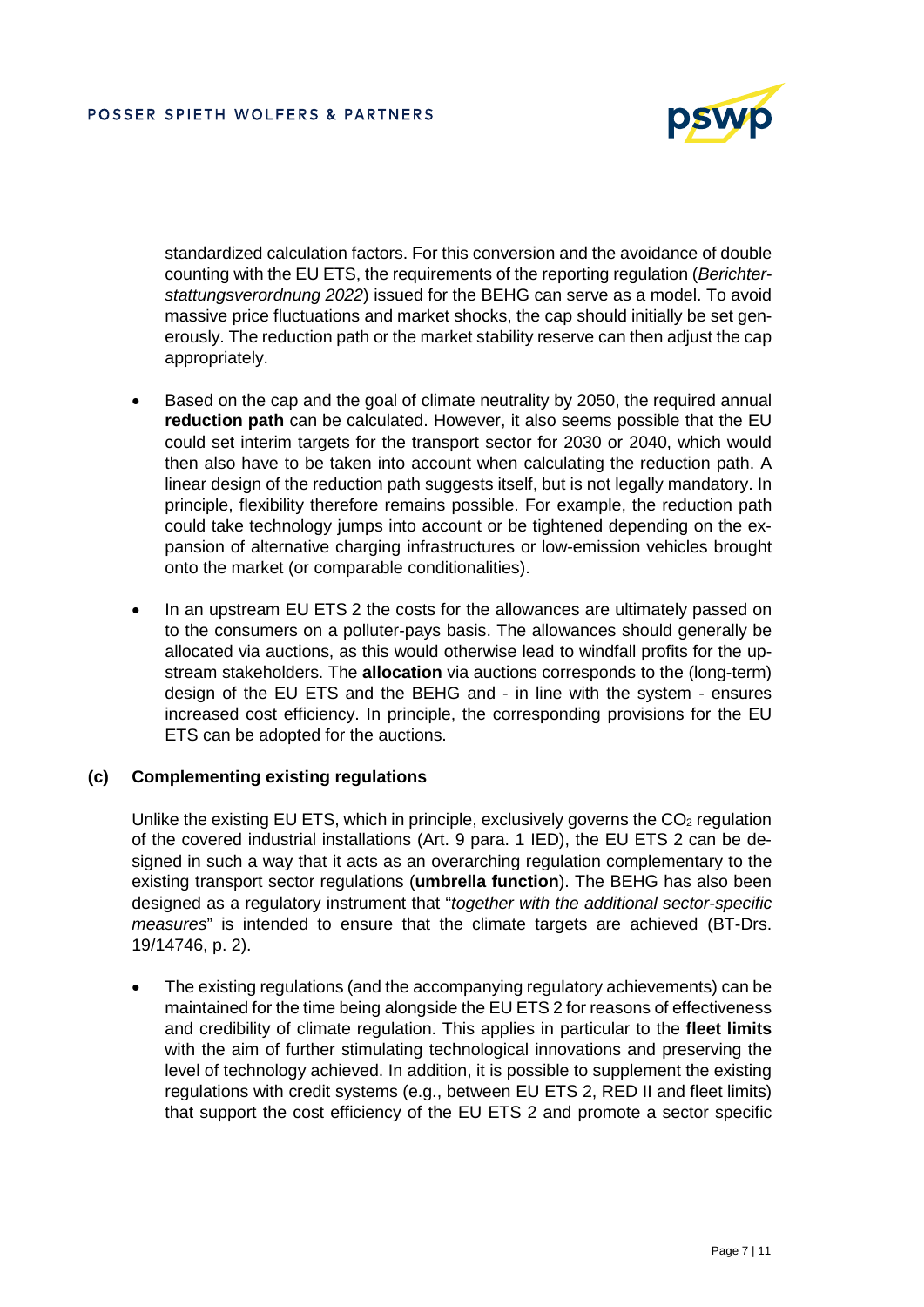

standardized calculation factors. For this conversion and the avoidance of double counting with the EU ETS, the requirements of the reporting regulation (*Berichterstattungsverordnung 2022*) issued for the BEHG can serve as a model. To avoid massive price fluctuations and market shocks, the cap should initially be set generously. The reduction path or the market stability reserve can then adjust the cap appropriately.

- Based on the cap and the goal of climate neutrality by 2050, the required annual **reduction path** can be calculated. However, it also seems possible that the EU could set interim targets for the transport sector for 2030 or 2040, which would then also have to be taken into account when calculating the reduction path. A linear design of the reduction path suggests itself, but is not legally mandatory. In principle, flexibility therefore remains possible. For example, the reduction path could take technology jumps into account or be tightened depending on the expansion of alternative charging infrastructures or low-emission vehicles brought onto the market (or comparable conditionalities).
- In an upstream EU ETS 2 the costs for the allowances are ultimately passed on to the consumers on a polluter-pays basis. The allowances should generally be allocated via auctions, as this would otherwise lead to windfall profits for the upstream stakeholders. The **allocation** via auctions corresponds to the (long-term) design of the EU ETS and the BEHG and - in line with the system - ensures increased cost efficiency. In principle, the corresponding provisions for the EU ETS can be adopted for the auctions.

#### **(c) Complementing existing regulations**

Unlike the existing EU ETS, which in principle, exclusively governs the  $CO<sub>2</sub>$  regulation of the covered industrial installations (Art. 9 para. 1 IED), the EU ETS 2 can be designed in such a way that it acts as an overarching regulation complementary to the existing transport sector regulations (**umbrella function**). The BEHG has also been designed as a regulatory instrument that "*together with the additional sector-specific measures*" is intended to ensure that the climate targets are achieved (BT-Drs. 19/14746, p. 2).

 The existing regulations (and the accompanying regulatory achievements) can be maintained for the time being alongside the EU ETS 2 for reasons of effectiveness and credibility of climate regulation. This applies in particular to the **fleet limits** with the aim of further stimulating technological innovations and preserving the level of technology achieved. In addition, it is possible to supplement the existing regulations with credit systems (e.g., between EU ETS 2, RED II and fleet limits) that support the cost efficiency of the EU ETS 2 and promote a sector specific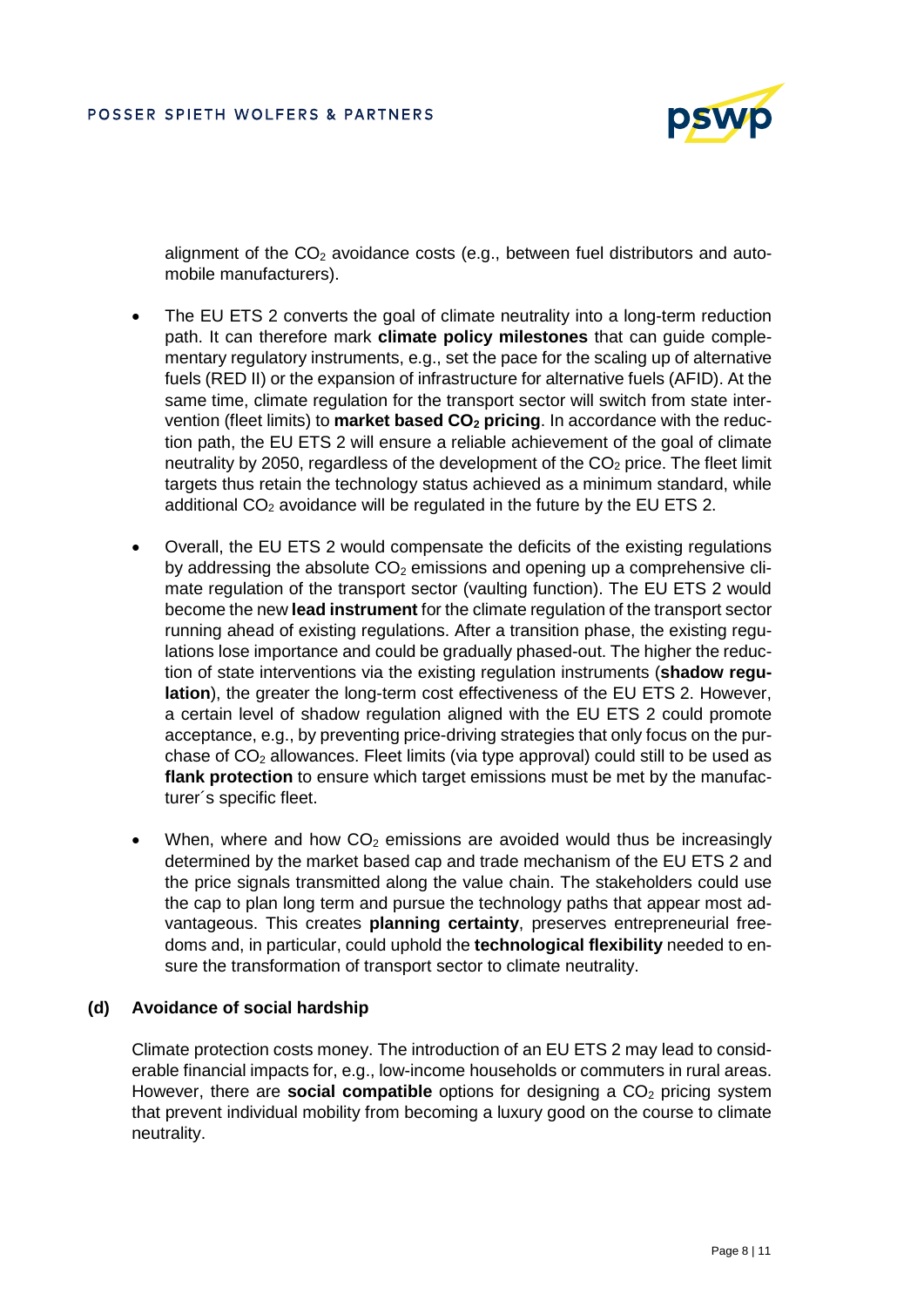

alignment of the  $CO<sub>2</sub>$  avoidance costs (e.g., between fuel distributors and automobile manufacturers).

- The EU ETS 2 converts the goal of climate neutrality into a long-term reduction path. It can therefore mark **climate policy milestones** that can guide complementary regulatory instruments, e.g., set the pace for the scaling up of alternative fuels (RED II) or the expansion of infrastructure for alternative fuels (AFID). At the same time, climate regulation for the transport sector will switch from state intervention (fleet limits) to **market based CO2 pricing**. In accordance with the reduction path, the EU ETS 2 will ensure a reliable achievement of the goal of climate neutrality by 2050, regardless of the development of the  $CO<sub>2</sub>$  price. The fleet limit targets thus retain the technology status achieved as a minimum standard, while additional  $CO<sub>2</sub>$  avoidance will be regulated in the future by the EU ETS 2.
- Overall, the EU ETS 2 would compensate the deficits of the existing regulations by addressing the absolute  $CO<sub>2</sub>$  emissions and opening up a comprehensive climate regulation of the transport sector (vaulting function). The EU ETS 2 would become the new **lead instrument** for the climate regulation of the transport sector running ahead of existing regulations. After a transition phase, the existing regulations lose importance and could be gradually phased-out. The higher the reduction of state interventions via the existing regulation instruments (**shadow regulation**), the greater the long-term cost effectiveness of the EU ETS 2. However, a certain level of shadow regulation aligned with the EU ETS 2 could promote acceptance, e.g., by preventing price-driving strategies that only focus on the purchase of  $CO<sub>2</sub>$  allowances. Fleet limits (via type approval) could still to be used as **flank protection** to ensure which target emissions must be met by the manufacturer´s specific fleet.
- When, where and how  $CO<sub>2</sub>$  emissions are avoided would thus be increasingly determined by the market based cap and trade mechanism of the EU ETS 2 and the price signals transmitted along the value chain. The stakeholders could use the cap to plan long term and pursue the technology paths that appear most advantageous. This creates **planning certainty**, preserves entrepreneurial freedoms and, in particular, could uphold the **technological flexibility** needed to ensure the transformation of transport sector to climate neutrality.

#### **(d) Avoidance of social hardship**

Climate protection costs money. The introduction of an EU ETS 2 may lead to considerable financial impacts for, e.g., low-income households or commuters in rural areas. However, there are **social compatible** options for designing a CO<sub>2</sub> pricing system that prevent individual mobility from becoming a luxury good on the course to climate neutrality.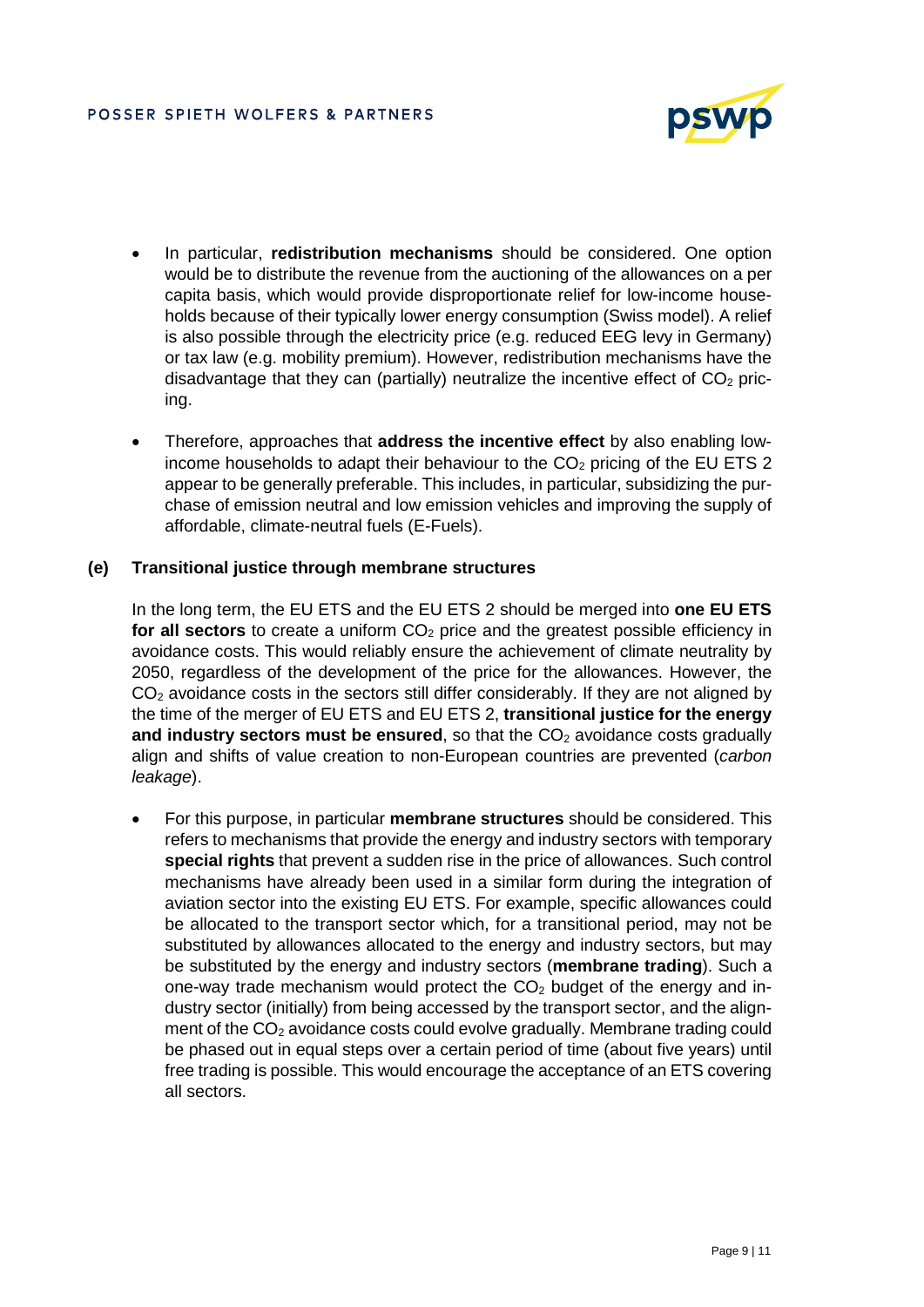

- In particular, **redistribution mechanisms** should be considered. One option would be to distribute the revenue from the auctioning of the allowances on a per capita basis, which would provide disproportionate relief for low-income households because of their typically lower energy consumption (Swiss model). A relief is also possible through the electricity price (e.g. reduced EEG levy in Germany) or tax law (e.g. mobility premium). However, redistribution mechanisms have the disadvantage that they can (partially) neutralize the incentive effect of  $CO<sub>2</sub>$  pricing.
- Therefore, approaches that **address the incentive effect** by also enabling lowincome households to adapt their behaviour to the  $CO<sub>2</sub>$  pricing of the EU ETS 2 appear to be generally preferable. This includes, in particular, subsidizing the purchase of emission neutral and low emission vehicles and improving the supply of affordable, climate-neutral fuels (E-Fuels).

## **(e) Transitional justice through membrane structures**

In the long term, the EU ETS and the EU ETS 2 should be merged into **one EU ETS for all sectors** to create a uniform CO<sub>2</sub> price and the greatest possible efficiency in avoidance costs. This would reliably ensure the achievement of climate neutrality by 2050, regardless of the development of the price for the allowances. However, the  $CO<sub>2</sub>$  avoidance costs in the sectors still differ considerably. If they are not aligned by the time of the merger of EU ETS and EU ETS 2, **transitional justice for the energy and industry sectors must be ensured**, so that the CO<sub>2</sub> avoidance costs gradually align and shifts of value creation to non-European countries are prevented (*carbon leakage*).

 For this purpose, in particular **membrane structures** should be considered. This refers to mechanisms that provide the energy and industry sectors with temporary **special rights** that prevent a sudden rise in the price of allowances. Such control mechanisms have already been used in a similar form during the integration of aviation sector into the existing EU ETS. For example, specific allowances could be allocated to the transport sector which, for a transitional period, may not be substituted by allowances allocated to the energy and industry sectors, but may be substituted by the energy and industry sectors (**membrane trading**). Such a one-way trade mechanism would protect the  $CO<sub>2</sub>$  budget of the energy and industry sector (initially) from being accessed by the transport sector, and the alignment of the  $CO<sub>2</sub>$  avoidance costs could evolve gradually. Membrane trading could be phased out in equal steps over a certain period of time (about five years) until free trading is possible. This would encourage the acceptance of an ETS covering all sectors.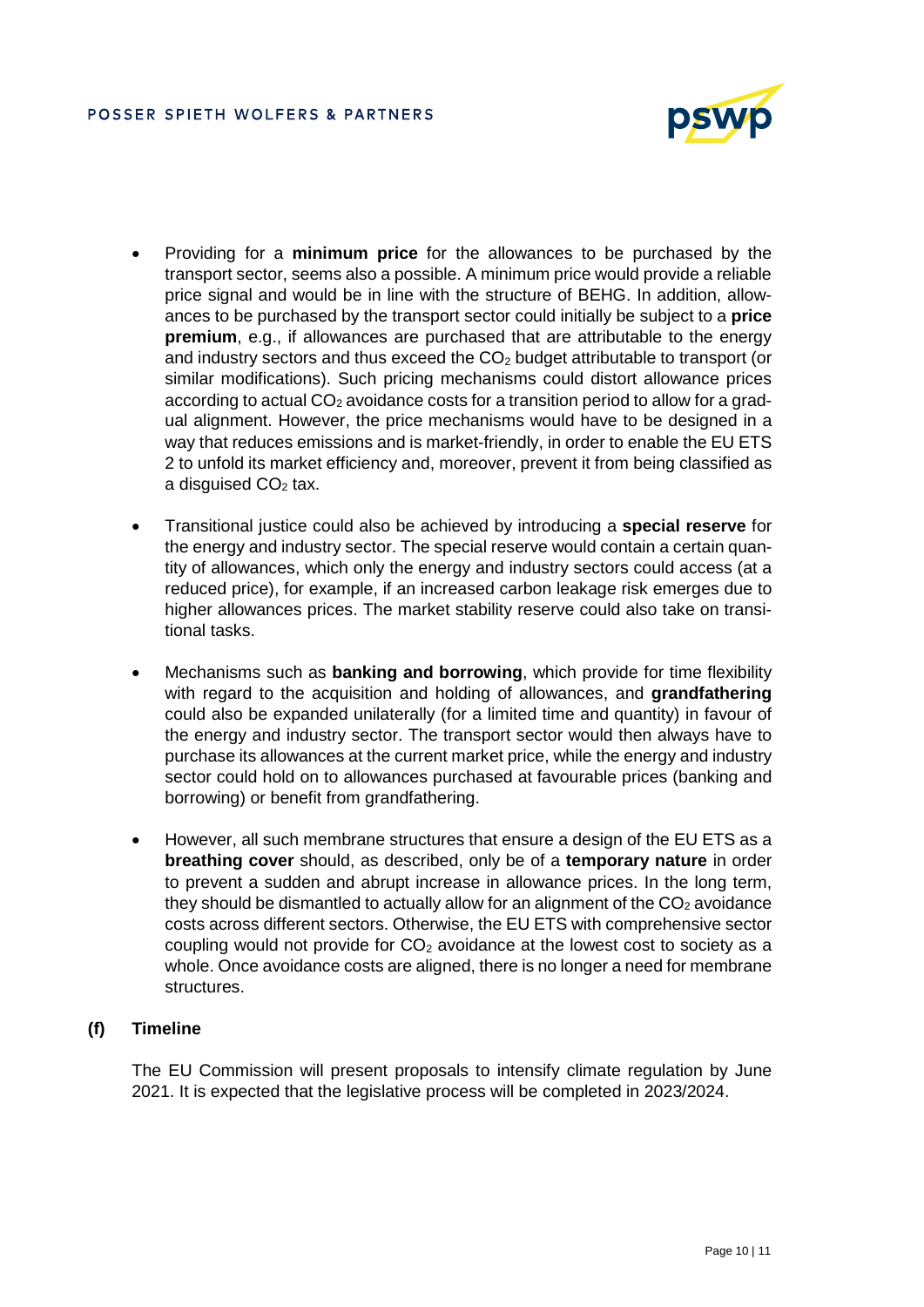

- Providing for a **minimum price** for the allowances to be purchased by the transport sector, seems also a possible. A minimum price would provide a reliable price signal and would be in line with the structure of BEHG. In addition, allowances to be purchased by the transport sector could initially be subject to a **price premium**, e.g., if allowances are purchased that are attributable to the energy and industry sectors and thus exceed the  $CO<sub>2</sub>$  budget attributable to transport (or similar modifications). Such pricing mechanisms could distort allowance prices according to actual  $CO<sub>2</sub>$  avoidance costs for a transition period to allow for a gradual alignment. However, the price mechanisms would have to be designed in a way that reduces emissions and is market-friendly, in order to enable the EU ETS 2 to unfold its market efficiency and, moreover, prevent it from being classified as a disquised  $CO<sub>2</sub>$  tax.
- Transitional justice could also be achieved by introducing a **special reserve** for the energy and industry sector. The special reserve would contain a certain quantity of allowances, which only the energy and industry sectors could access (at a reduced price), for example, if an increased carbon leakage risk emerges due to higher allowances prices. The market stability reserve could also take on transitional tasks.
- Mechanisms such as **banking and borrowing**, which provide for time flexibility with regard to the acquisition and holding of allowances, and **grandfathering**  could also be expanded unilaterally (for a limited time and quantity) in favour of the energy and industry sector. The transport sector would then always have to purchase its allowances at the current market price, while the energy and industry sector could hold on to allowances purchased at favourable prices (banking and borrowing) or benefit from grandfathering.
- However, all such membrane structures that ensure a design of the EU ETS as a **breathing cover** should, as described, only be of a **temporary nature** in order to prevent a sudden and abrupt increase in allowance prices. In the long term, they should be dismantled to actually allow for an alignment of the  $CO<sub>2</sub>$  avoidance costs across different sectors. Otherwise, the EU ETS with comprehensive sector coupling would not provide for  $CO<sub>2</sub>$  avoidance at the lowest cost to society as a whole. Once avoidance costs are aligned, there is no longer a need for membrane structures.

# **(f) Timeline**

The EU Commission will present proposals to intensify climate regulation by June 2021. It is expected that the legislative process will be completed in 2023/2024.